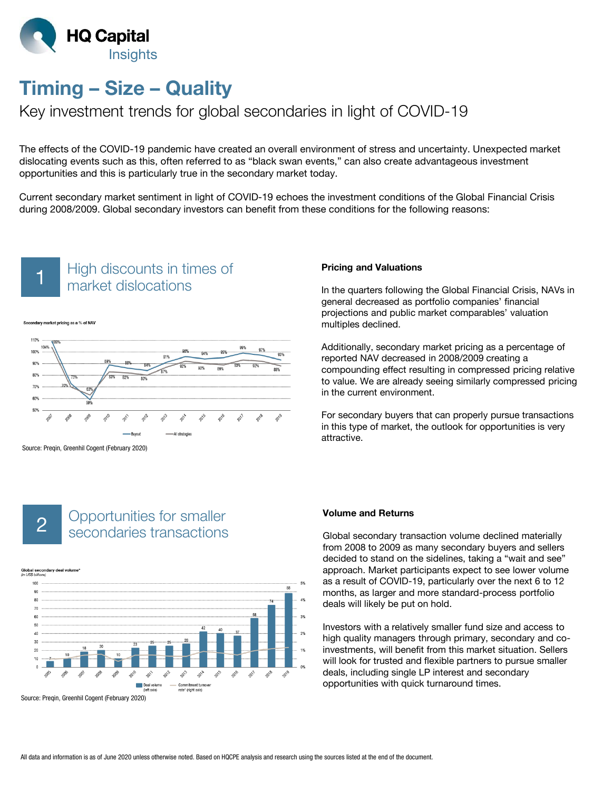

# Timing – Size – Quality

# Key investment trends for global secondaries in light of COVID-19

The effects of the COVID-19 pandemic have created an overall environment of stress and uncertainty. Unexpected market dislocating events such as this, often referred to as "black swan events," can also create advantageous investment opportunities and this is particularly true in the secondary market today.

Current secondary market sentiment in light of COVID-19 echoes the investment conditions of the Global Financial Crisis during 2008/2009. Global secondary investors can benefit from these conditions for the following reasons:



### High discounts in times of market dislocations 1





Source: Preqin, Greenhil Cogent (February 2020)

# Opportunities for smaller 2 Secondaries for smaller

Global secondary deal volume



Source: Preqin, Greenhil Cogent (February 2020)

#### Pricing and Valuations

In the quarters following the Global Financial Crisis, NAVs in general decreased as portfolio companies' financial projections and public market comparables' valuation multiples declined.

Additionally, secondary market pricing as a percentage of reported NAV decreased in 2008/2009 creating a compounding effect resulting in compressed pricing relative to value. We are already seeing similarly compressed pricing in the current environment.

For secondary buyers that can properly pursue transactions in this type of market, the outlook for opportunities is very attractive.

#### Volume and Returns

Global secondary transaction volume declined materially from 2008 to 2009 as many secondary buyers and sellers decided to stand on the sidelines, taking a "wait and see" approach. Market participants expect to see lower volume as a result of COVID-19, particularly over the next 6 to 12 months, as larger and more standard-process portfolio deals will likely be put on hold.

Investors with a relatively smaller fund size and access to high quality managers through primary, secondary and coinvestments, will benefit from this market situation. Sellers will look for trusted and flexible partners to pursue smaller deals, including single LP interest and secondary opportunities with quick turnaround times.